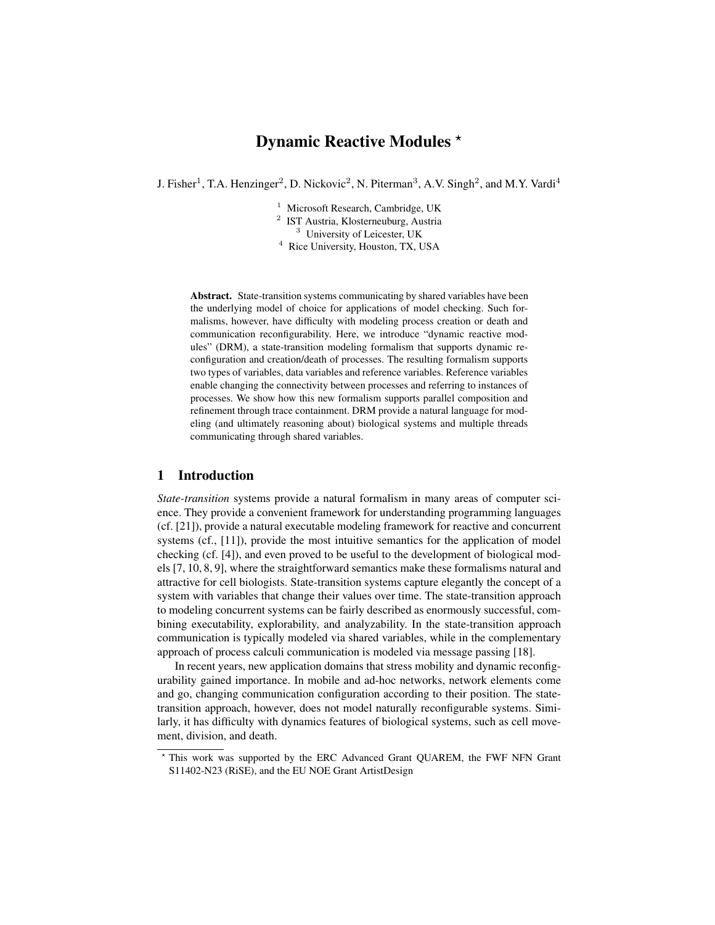# Dynamic Reactive Modules \*

J. Fisher<sup>1</sup>, T.A. Henzinger<sup>2</sup>, D. Nickovic<sup>2</sup>, N. Piterman<sup>3</sup>, A.V. Singh<sup>2</sup>, and M.Y. Vardi<sup>4</sup>

<sup>1</sup> Microsoft Research, Cambridge, UK

<sup>2</sup> IST Austria, Klosterneuburg, Austria

<sup>3</sup> University of Leicester, UK

<sup>4</sup> Rice University, Houston, TX, USA

Abstract. State-transition systems communicating by shared variables have been the underlying model of choice for applications of model checking. Such formalisms, however, have difficulty with modeling process creation or death and communication reconfigurability. Here, we introduce "dynamic reactive modules" (DRM), a state-transition modeling formalism that supports dynamic reconfiguration and creation/death of processes. The resulting formalism supports two types of variables, data variables and reference variables. Reference variables enable changing the connectivity between processes and referring to instances of processes. We show how this new formalism supports parallel composition and refinement through trace containment. DRM provide a natural language for modeling (and ultimately reasoning about) biological systems and multiple threads communicating through shared variables.

# 1 Introduction

*State-transition* systems provide a natural formalism in many areas of computer science. They provide a convenient framework for understanding programming languages (cf. [21]), provide a natural executable modeling framework for reactive and concurrent systems (cf., [11]), provide the most intuitive semantics for the application of model checking (cf. [4]), and even proved to be useful to the development of biological models [7, 10, 8, 9], where the straightforward semantics make these formalisms natural and attractive for cell biologists. State-transition systems capture elegantly the concept of a system with variables that change their values over time. The state-transition approach to modeling concurrent systems can be fairly described as enormously successful, combining executability, explorability, and analyzability. In the state-transition approach communication is typically modeled via shared variables, while in the complementary approach of process calculi communication is modeled via message passing [18].

In recent years, new application domains that stress mobility and dynamic reconfigurability gained importance. In mobile and ad-hoc networks, network elements come and go, changing communication configuration according to their position. The statetransition approach, however, does not model naturally reconfigurable systems. Similarly, it has difficulty with dynamics features of biological systems, such as cell movement, division, and death.

<sup>?</sup> This work was supported by the ERC Advanced Grant QUAREM, the FWF NFN Grant S11402-N23 (RiSE), and the EU NOE Grant ArtistDesign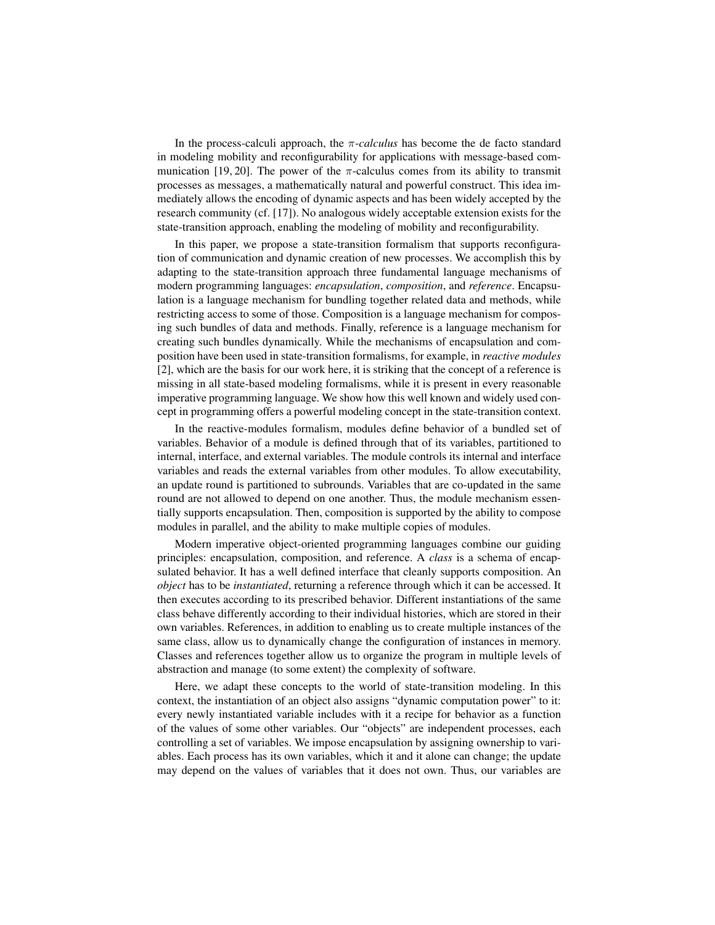In the process-calculi approach, the π-*calculus* has become the de facto standard in modeling mobility and reconfigurability for applications with message-based communication [19, 20]. The power of the  $\pi$ -calculus comes from its ability to transmit processes as messages, a mathematically natural and powerful construct. This idea immediately allows the encoding of dynamic aspects and has been widely accepted by the research community (cf. [17]). No analogous widely acceptable extension exists for the state-transition approach, enabling the modeling of mobility and reconfigurability.

In this paper, we propose a state-transition formalism that supports reconfiguration of communication and dynamic creation of new processes. We accomplish this by adapting to the state-transition approach three fundamental language mechanisms of modern programming languages: *encapsulation*, *composition*, and *reference*. Encapsulation is a language mechanism for bundling together related data and methods, while restricting access to some of those. Composition is a language mechanism for composing such bundles of data and methods. Finally, reference is a language mechanism for creating such bundles dynamically. While the mechanisms of encapsulation and composition have been used in state-transition formalisms, for example, in *reactive modules* [2], which are the basis for our work here, it is striking that the concept of a reference is missing in all state-based modeling formalisms, while it is present in every reasonable imperative programming language. We show how this well known and widely used concept in programming offers a powerful modeling concept in the state-transition context.

In the reactive-modules formalism, modules define behavior of a bundled set of variables. Behavior of a module is defined through that of its variables, partitioned to internal, interface, and external variables. The module controls its internal and interface variables and reads the external variables from other modules. To allow executability, an update round is partitioned to subrounds. Variables that are co-updated in the same round are not allowed to depend on one another. Thus, the module mechanism essentially supports encapsulation. Then, composition is supported by the ability to compose modules in parallel, and the ability to make multiple copies of modules.

Modern imperative object-oriented programming languages combine our guiding principles: encapsulation, composition, and reference. A *class* is a schema of encapsulated behavior. It has a well defined interface that cleanly supports composition. An *object* has to be *instantiated*, returning a reference through which it can be accessed. It then executes according to its prescribed behavior. Different instantiations of the same class behave differently according to their individual histories, which are stored in their own variables. References, in addition to enabling us to create multiple instances of the same class, allow us to dynamically change the configuration of instances in memory. Classes and references together allow us to organize the program in multiple levels of abstraction and manage (to some extent) the complexity of software.

Here, we adapt these concepts to the world of state-transition modeling. In this context, the instantiation of an object also assigns "dynamic computation power" to it: every newly instantiated variable includes with it a recipe for behavior as a function of the values of some other variables. Our "objects" are independent processes, each controlling a set of variables. We impose encapsulation by assigning ownership to variables. Each process has its own variables, which it and it alone can change; the update may depend on the values of variables that it does not own. Thus, our variables are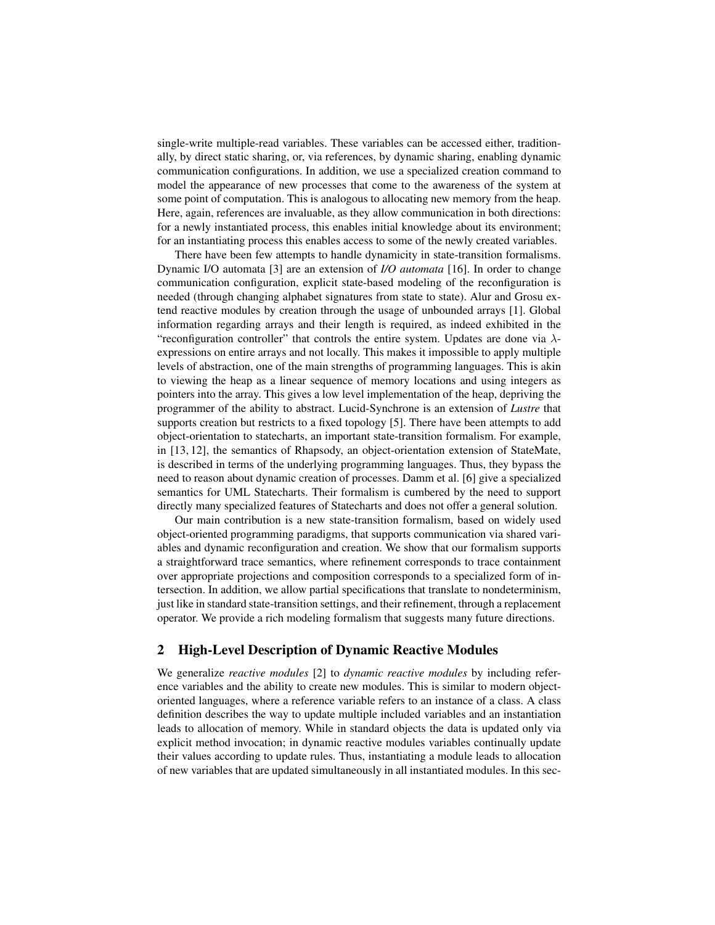single-write multiple-read variables. These variables can be accessed either, traditionally, by direct static sharing, or, via references, by dynamic sharing, enabling dynamic communication configurations. In addition, we use a specialized creation command to model the appearance of new processes that come to the awareness of the system at some point of computation. This is analogous to allocating new memory from the heap. Here, again, references are invaluable, as they allow communication in both directions: for a newly instantiated process, this enables initial knowledge about its environment; for an instantiating process this enables access to some of the newly created variables.

There have been few attempts to handle dynamicity in state-transition formalisms. Dynamic I/O automata [3] are an extension of *I/O automata* [16]. In order to change communication configuration, explicit state-based modeling of the reconfiguration is needed (through changing alphabet signatures from state to state). Alur and Grosu extend reactive modules by creation through the usage of unbounded arrays [1]. Global information regarding arrays and their length is required, as indeed exhibited in the "reconfiguration controller" that controls the entire system. Updates are done via  $\lambda$ expressions on entire arrays and not locally. This makes it impossible to apply multiple levels of abstraction, one of the main strengths of programming languages. This is akin to viewing the heap as a linear sequence of memory locations and using integers as pointers into the array. This gives a low level implementation of the heap, depriving the programmer of the ability to abstract. Lucid-Synchrone is an extension of *Lustre* that supports creation but restricts to a fixed topology [5]. There have been attempts to add object-orientation to statecharts, an important state-transition formalism. For example, in [13, 12], the semantics of Rhapsody, an object-orientation extension of StateMate, is described in terms of the underlying programming languages. Thus, they bypass the need to reason about dynamic creation of processes. Damm et al. [6] give a specialized semantics for UML Statecharts. Their formalism is cumbered by the need to support directly many specialized features of Statecharts and does not offer a general solution.

Our main contribution is a new state-transition formalism, based on widely used object-oriented programming paradigms, that supports communication via shared variables and dynamic reconfiguration and creation. We show that our formalism supports a straightforward trace semantics, where refinement corresponds to trace containment over appropriate projections and composition corresponds to a specialized form of intersection. In addition, we allow partial specifications that translate to nondeterminism, just like in standard state-transition settings, and their refinement, through a replacement operator. We provide a rich modeling formalism that suggests many future directions.

# 2 High-Level Description of Dynamic Reactive Modules

We generalize *reactive modules* [2] to *dynamic reactive modules* by including reference variables and the ability to create new modules. This is similar to modern objectoriented languages, where a reference variable refers to an instance of a class. A class definition describes the way to update multiple included variables and an instantiation leads to allocation of memory. While in standard objects the data is updated only via explicit method invocation; in dynamic reactive modules variables continually update their values according to update rules. Thus, instantiating a module leads to allocation of new variables that are updated simultaneously in all instantiated modules. In this sec-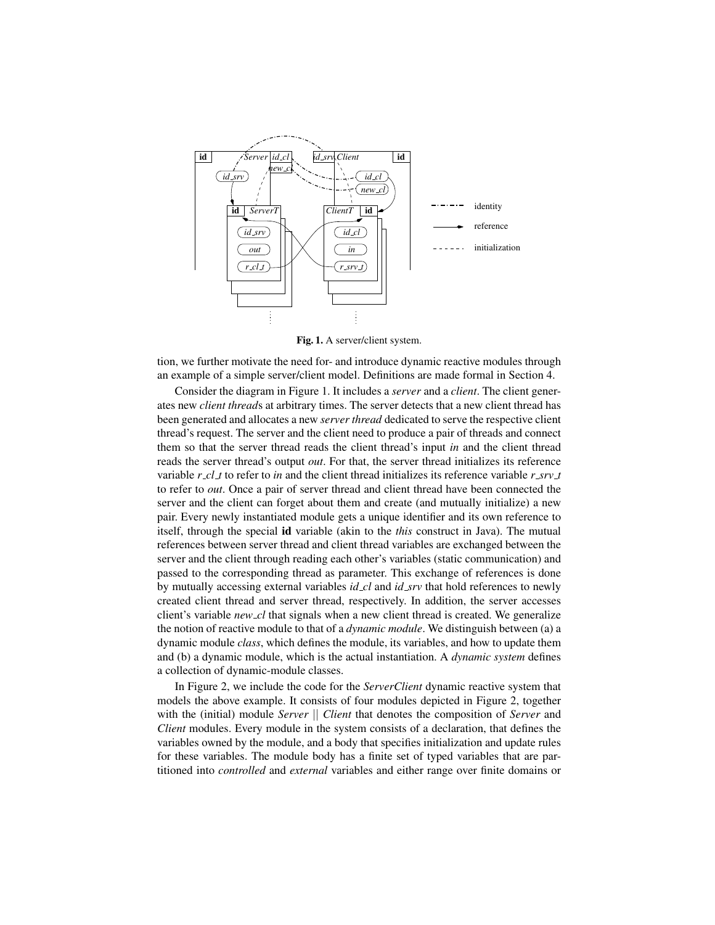

Fig. 1. A server/client system.

tion, we further motivate the need for- and introduce dynamic reactive modules through an example of a simple server/client model. Definitions are made formal in Section 4.

Consider the diagram in Figure 1. It includes a *server* and a *client*. The client generates new *client thread*s at arbitrary times. The server detects that a new client thread has been generated and allocates a new *server thread* dedicated to serve the respective client thread's request. The server and the client need to produce a pair of threads and connect them so that the server thread reads the client thread's input *in* and the client thread reads the server thread's output *out*. For that, the server thread initializes its reference variable  $r$ -cl<sub>-t</sub> to refer to *in* and the client thread initializes its reference variable  $r$ -srv-t to refer to *out*. Once a pair of server thread and client thread have been connected the server and the client can forget about them and create (and mutually initialize) a new pair. Every newly instantiated module gets a unique identifier and its own reference to itself, through the special id variable (akin to the *this* construct in Java). The mutual references between server thread and client thread variables are exchanged between the server and the client through reading each other's variables (static communication) and passed to the corresponding thread as parameter. This exchange of references is done by mutually accessing external variables *id cl* and *id srv* that hold references to newly created client thread and server thread, respectively. In addition, the server accesses client's variable *new cl* that signals when a new client thread is created. We generalize the notion of reactive module to that of a *dynamic module*. We distinguish between (a) a dynamic module *class*, which defines the module, its variables, and how to update them and (b) a dynamic module, which is the actual instantiation. A *dynamic system* defines a collection of dynamic-module classes.

In Figure 2, we include the code for the *ServerClient* dynamic reactive system that models the above example. It consists of four modules depicted in Figure 2, together with the (initial) module *Server* || *Client* that denotes the composition of *Server* and *Client* modules. Every module in the system consists of a declaration, that defines the variables owned by the module, and a body that specifies initialization and update rules for these variables. The module body has a finite set of typed variables that are partitioned into *controlled* and *external* variables and either range over finite domains or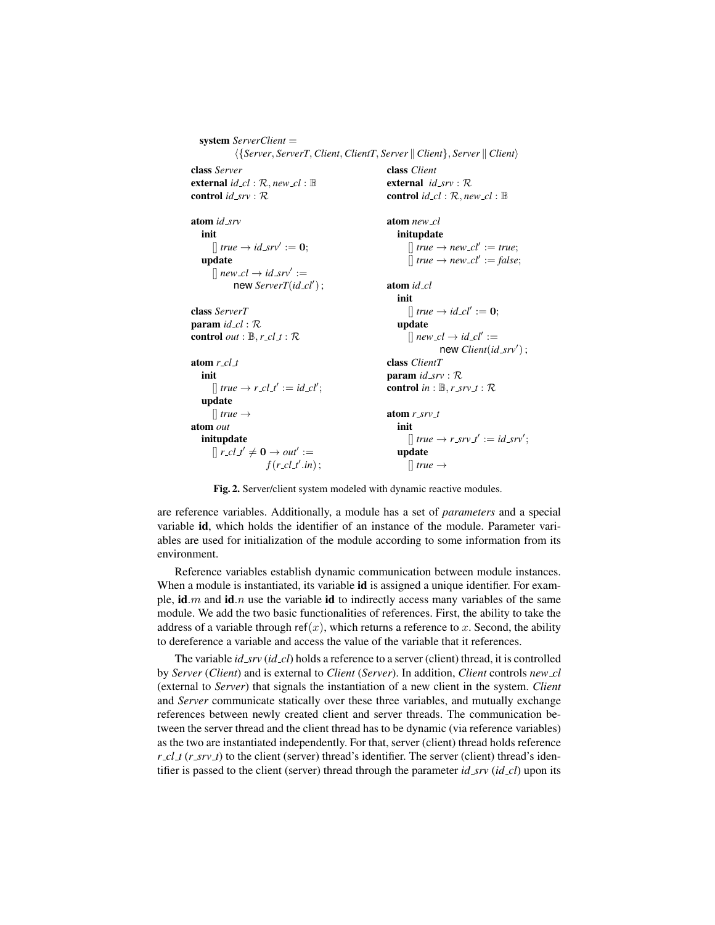```
system ServerClient =
             h{Server, ServerT, Client, ClientT, Server k Client}, Server k Clienti
class Server
external id<sub>-cl</sub> : R, new<sub>-cl</sub> : Bcontrol id srv : R
atom id srv
  init
      [ true \rightarrow id_srv' := 0;
   update
      [] new_c l \rightarrow id_s r v' :=new ServerT(id_cl');
class ServerT
param id<sub>-cl</sub> : Rcontrol out : \mathbb{B}, r cl t : \mathbb{R}atom r-cl tinit
      [ true \rightarrow r_cl_t' := id_cl';
   update
      [ true \rightarrowatom out
  initupdate
      [] r\_cl\_t' \neq 0 \rightarrow out' :=f(r\_cl\_t'.in);
                                                           class Client
                                                           external id srv : R
                                                           control id\_cl : \mathcal{R}, new\_cl : \mathbb{B}atom new cl
                                                              initupdate
                                                                  [ true \rightarrow new_cl' := true;
                                                                  [ true \rightarrow new_cl' := false;
                                                           atom id cl
                                                              init
                                                                  [ true \rightarrow id_cl' := 0;
                                                              update
                                                                  [] new_cl \rightarrow id_cl' :=new Client(id_srv');
                                                           class ClientT
                                                           param id srv : R
                                                           control in : \mathbb{B}, r_srv_t : \mathcal{R}atom r<sub>srv_t</sub>
                                                              init
                                                                  [ true \rightarrow r_srv_t' := id_srv';
                                                              update
                                                                 [ true \rightarrow
```
Fig. 2. Server/client system modeled with dynamic reactive modules.

are reference variables. Additionally, a module has a set of *parameters* and a special variable id, which holds the identifier of an instance of the module. Parameter variables are used for initialization of the module according to some information from its environment.

Reference variables establish dynamic communication between module instances. When a module is instantiated, its variable **id** is assigned a unique identifier. For example,  $id.m$  and  $id.n$  use the variable id to indirectly access many variables of the same module. We add the two basic functionalities of references. First, the ability to take the address of a variable through ref $(x)$ , which returns a reference to x. Second, the ability to dereference a variable and access the value of the variable that it references.

The variable *id srv* (*id cl*) holds a reference to a server (client) thread, it is controlled by *Server* (*Client*) and is external to *Client* (*Server*). In addition, *Client* controls *new cl* (external to *Server*) that signals the instantiation of a new client in the system. *Client* and *Server* communicate statically over these three variables, and mutually exchange references between newly created client and server threads. The communication between the server thread and the client thread has to be dynamic (via reference variables) as the two are instantiated independently. For that, server (client) thread holds reference  $r$  *cl*  $t$  ( $r$  *srv* $t$ ) to the client (server) thread's identifier. The server (client) thread's identifier is passed to the client (server) thread through the parameter *id srv* (*id cl*) upon its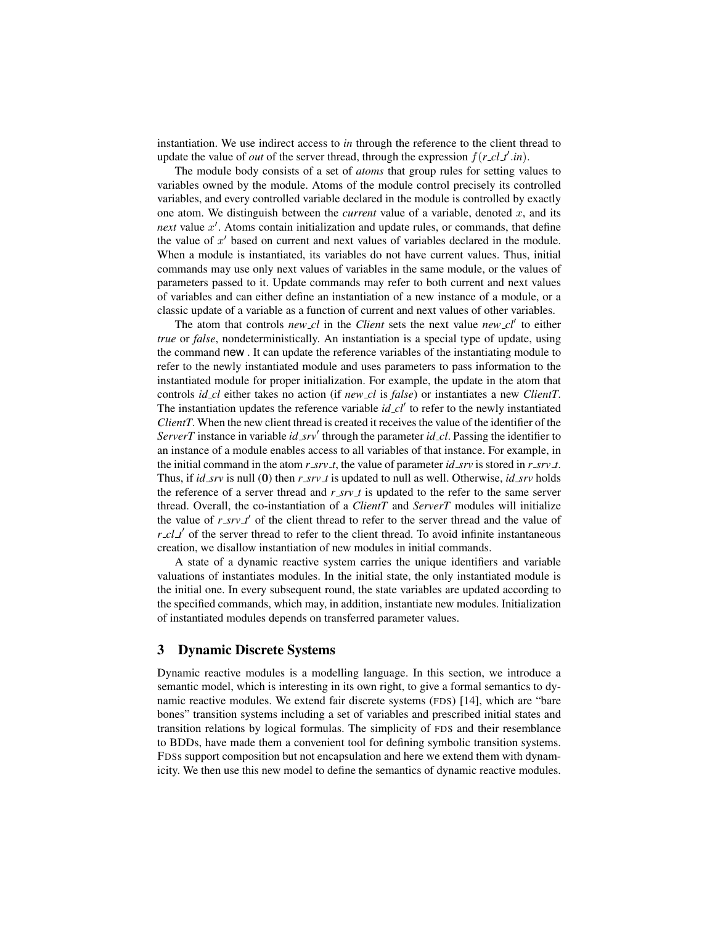instantiation. We use indirect access to *in* through the reference to the client thread to update the value of *out* of the server thread, through the expression  $f(r_cl\_t'.in)$ .

The module body consists of a set of *atoms* that group rules for setting values to variables owned by the module. Atoms of the module control precisely its controlled variables, and every controlled variable declared in the module is controlled by exactly one atom. We distinguish between the *current* value of a variable, denoted  $x$ , and its *next* value  $x'$ . Atoms contain initialization and update rules, or commands, that define the value of  $x'$  based on current and next values of variables declared in the module. When a module is instantiated, its variables do not have current values. Thus, initial commands may use only next values of variables in the same module, or the values of parameters passed to it. Update commands may refer to both current and next values of variables and can either define an instantiation of a new instance of a module, or a classic update of a variable as a function of current and next values of other variables.

The atom that controls *new cl* in the *Client* sets the next value *new cl'* to either *true* or *false*, nondeterministically. An instantiation is a special type of update, using the command new . It can update the reference variables of the instantiating module to refer to the newly instantiated module and uses parameters to pass information to the instantiated module for proper initialization. For example, the update in the atom that controls *id cl* either takes no action (if *new cl* is *false*) or instantiates a new *ClientT*. The instantiation updates the reference variable  $id$ <sub>*cl*</sub> $d$  to refer to the newly instantiated *ClientT*. When the new client thread is created it receives the value of the identifier of the ServerT instance in variable *id\_srv'* through the parameter *id\_cl*. Passing the identifier to an instance of a module enables access to all variables of that instance. For example, in the initial command in the atom  $r$  *srv t*, the value of parameter *id srv* is stored in  $r$  *srv t*. Thus, if *id srv* is null (0) then *r srv t* is updated to null as well. Otherwise, *id srv* holds the reference of a server thread and *r srv t* is updated to the refer to the same server thread. Overall, the co-instantiation of a *ClientT* and *ServerT* modules will initialize the value of  $r$ <sub>-</sub>*srv*<sub>-t</sub>' of the client thread to refer to the server thread and the value of  $r$ -cl  $t'$  of the server thread to refer to the client thread. To avoid infinite instantaneous creation, we disallow instantiation of new modules in initial commands.

A state of a dynamic reactive system carries the unique identifiers and variable valuations of instantiates modules. In the initial state, the only instantiated module is the initial one. In every subsequent round, the state variables are updated according to the specified commands, which may, in addition, instantiate new modules. Initialization of instantiated modules depends on transferred parameter values.

# 3 Dynamic Discrete Systems

Dynamic reactive modules is a modelling language. In this section, we introduce a semantic model, which is interesting in its own right, to give a formal semantics to dynamic reactive modules. We extend fair discrete systems (FDS) [14], which are "bare bones" transition systems including a set of variables and prescribed initial states and transition relations by logical formulas. The simplicity of FDS and their resemblance to BDDs, have made them a convenient tool for defining symbolic transition systems. FDSs support composition but not encapsulation and here we extend them with dynamicity. We then use this new model to define the semantics of dynamic reactive modules.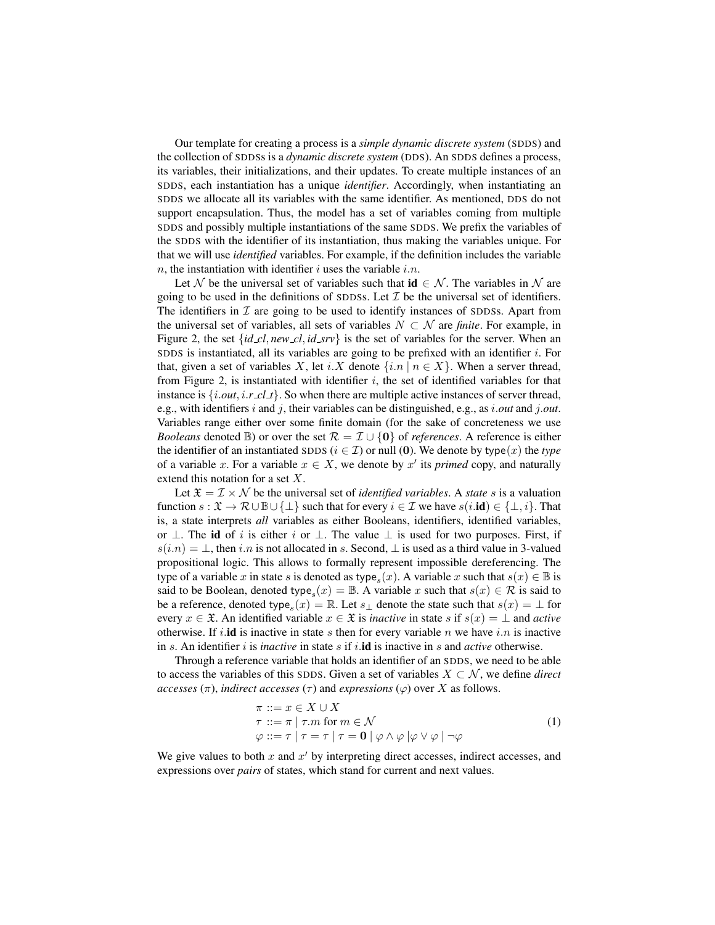Our template for creating a process is a *simple dynamic discrete system* (SDDS) and the collection of SDDSs is a *dynamic discrete system* (DDS). An SDDS defines a process, its variables, their initializations, and their updates. To create multiple instances of an SDDS, each instantiation has a unique *identifier*. Accordingly, when instantiating an SDDS we allocate all its variables with the same identifier. As mentioned, DDS do not support encapsulation. Thus, the model has a set of variables coming from multiple SDDS and possibly multiple instantiations of the same SDDS. We prefix the variables of the SDDS with the identifier of its instantiation, thus making the variables unique. For that we will use *identified* variables. For example, if the definition includes the variable n, the instantiation with identifier i uses the variable i.n.

Let N be the universal set of variables such that  $id \in \mathcal{N}$ . The variables in N are going to be used in the definitions of SDDSs. Let  $\mathcal I$  be the universal set of identifiers. The identifiers in  $\mathcal I$  are going to be used to identify instances of SDDSs. Apart from the universal set of variables, all sets of variables  $N \subset \mathcal{N}$  are *finite*. For example, in Figure 2, the set  $\{id_c\}, new_c\}, i\, \text{srv}\}$  is the set of variables for the server. When an SDDS is instantiated, all its variables are going to be prefixed with an identifier  $i$ . For that, given a set of variables X, let i.X denote  $\{i.n \mid n \in X\}$ . When a server thread, from Figure 2, is instantiated with identifier  $i$ , the set of identified variables for that instance is  $\{i.out, i.r\_cl\_t\}$ . So when there are multiple active instances of server thread, e.g., with identifiers i and j, their variables can be distinguished, e.g., as i.*out* and j.*out*. Variables range either over some finite domain (for the sake of concreteness we use *Booleans* denoted B) or over the set  $\mathcal{R} = \mathcal{I} \cup \{0\}$  of *references*. A reference is either the identifier of an instantiated SDDS ( $i \in \mathcal{I}$ ) or null (0). We denote by type $(x)$  the *type* of a variable x. For a variable  $x \in X$ , we denote by x' its *primed* copy, and naturally extend this notation for a set X.

Let  $\mathfrak{X} = \mathcal{I} \times \mathcal{N}$  be the universal set of *identified variables*. A *state* s is a valuation function  $s: \mathfrak{X} \to \mathcal{R} \cup \mathbb{B} \cup {\perp}$  such that for every  $i \in \mathcal{I}$  we have  $s(i.\mathbf{id}) \in {\perp}$ , i. That is, a state interprets *all* variables as either Booleans, identifiers, identified variables, or  $\perp$ . The id of i is either i or  $\perp$ . The value  $\perp$  is used for two purposes. First, if  $s(i.n) = \bot$ , then i.n is not allocated in s. Second,  $\bot$  is used as a third value in 3-valued propositional logic. This allows to formally represent impossible dereferencing. The type of a variable x in state s is denoted as type<sub>s</sub> $(x)$ . A variable x such that  $s(x) \in \mathbb{B}$  is said to be Boolean, denoted type<sub>s</sub> $(x) = \mathbb{B}$ . A variable x such that  $s(x) \in \mathcal{R}$  is said to be a reference, denoted type<sub>s</sub> $(x) = \mathbb{R}$ . Let  $s_{\perp}$  denote the state such that  $s(x) = \perp$  for every  $x \in \mathfrak{X}$ . An identified variable  $x \in \mathfrak{X}$  is *inactive* in state s if  $s(x) = \perp$  and *active* otherwise. If i.id is inactive in state s then for every variable n we have i.n is inactive in s. An identifier i is *inactive* in state s if i.**id** is inactive in s and *active* otherwise.

Through a reference variable that holds an identifier of an SDDS, we need to be able to access the variables of this SDDS. Given a set of variables  $X \subset \mathcal{N}$ , we define *direct accesses*  $(\pi)$ , *indirect accesses*  $(\tau)$  and *expressions*  $(\varphi)$  over X as follows.

$$
\begin{aligned}\n\pi &::= x \in X \cup X \\
\tau &::= \pi \mid \tau.m \text{ for } m \in \mathcal{N} \\
\varphi &::= \tau \mid \tau = \tau \mid \tau = \mathbf{0} \mid \varphi \land \varphi \mid \varphi \lor \varphi \mid \neg \varphi\n\end{aligned} \tag{1}
$$

We give values to both  $x$  and  $x'$  by interpreting direct accesses, indirect accesses, and expressions over *pairs* of states, which stand for current and next values.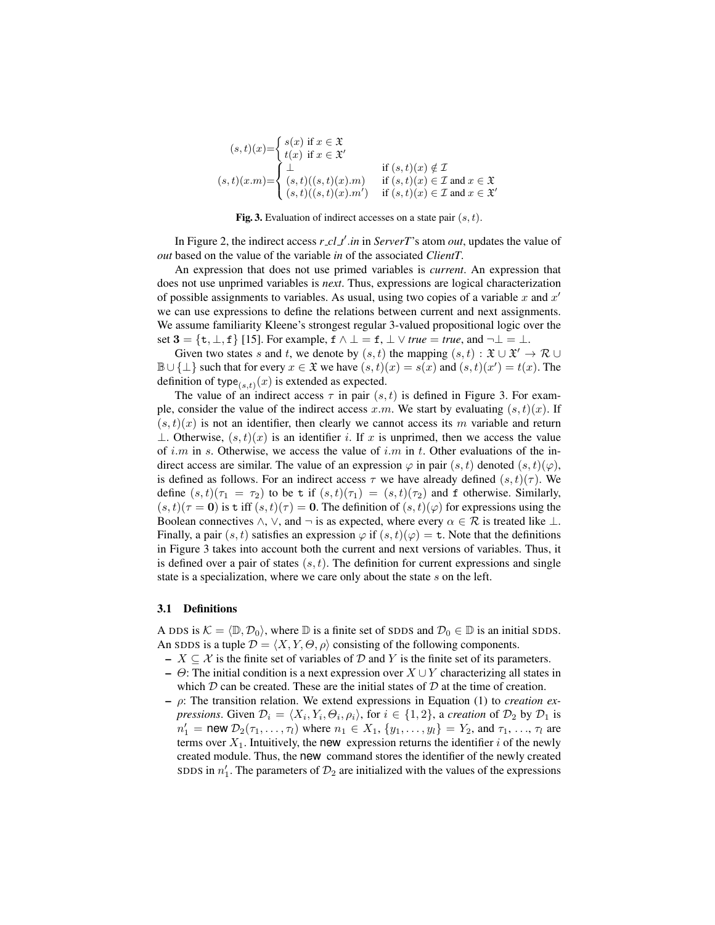$$
(s,t)(x) = \begin{cases} s(x) \text{ if } x \in \mathfrak{X} \\ t(x) \text{ if } x \in \mathfrak{X}' \\ \downarrow \qquad \qquad \text{if } (s,t)(x) \notin \mathcal{I} \\ (s,t)(x,m) = \begin{cases} \perp & \text{if } (s,t)(x) \notin \mathcal{I} \\ (s,t)((s,t)(x).m) & \text{if } (s,t)(x) \in \mathcal{I} \text{ and } x \in \mathfrak{X}' \\ (s,t)((s,t)(x).m') & \text{if } (s,t)(x) \in \mathcal{I} \text{ and } x \in \mathfrak{X}' \end{cases}
$$

Fig. 3. Evaluation of indirect accesses on a state pair  $(s, t)$ .

In Figure 2, the indirect access  $r$ *-cl t' in* in *ServerT*'s atom *out*, updates the value of *out* based on the value of the variable *in* of the associated *ClientT*.

An expression that does not use primed variables is *current*. An expression that does not use unprimed variables is *next*. Thus, expressions are logical characterization of possible assignments to variables. As usual, using two copies of a variable  $x$  and  $x'$ we can use expressions to define the relations between current and next assignments. We assume familiarity Kleene's strongest regular 3-valued propositional logic over the set  $3 = \{t, \perp, f\}$  [15]. For example,  $f \wedge \perp = f$ ,  $\perp \vee true = true$ , and  $\neg \perp = \perp$ .

Given two states s and t, we denote by  $(s, t)$  the mapping  $(s, t) : \mathfrak{X} \cup \mathfrak{X}' \to \mathcal{R} \cup$  $\mathbb{B} \cup \{\perp\}$  such that for every  $x \in \mathfrak{X}$  we have  $(s, t)(x) = s(x)$  and  $(s, t)(x') = t(x)$ . The definition of type $_{(s,t)}(x)$  is extended as expected.

The value of an indirect access  $\tau$  in pair  $(s, t)$  is defined in Figure 3. For example, consider the value of the indirect access x.m. We start by evaluating  $(s, t)(x)$ . If  $(s, t)(x)$  is not an identifier, then clearly we cannot access its m variable and return ⊥. Otherwise,  $(s, t)(x)$  is an identifier i. If x is unprimed, then we access the value of i.m in s. Otherwise, we access the value of i.m in t. Other evaluations of the indirect access are similar. The value of an expression  $\varphi$  in pair  $(s, t)$  denoted  $(s, t)(\varphi)$ , is defined as follows. For an indirect access  $\tau$  we have already defined  $(s, t)(\tau)$ . We define  $(s, t)(\tau_1 = \tau_2)$  to be t if  $(s, t)(\tau_1) = (s, t)(\tau_2)$  and f otherwise. Similarly,  $(s, t)(\tau = 0)$  is t iff  $(s, t)(\tau) = 0$ . The definition of  $(s, t)(\varphi)$  for expressions using the Boolean connectives  $\wedge$ ,  $\vee$ , and  $\neg$  is as expected, where every  $\alpha \in \mathcal{R}$  is treated like  $\bot$ . Finally, a pair  $(s, t)$  satisfies an expression  $\varphi$  if  $(s, t)(\varphi) = \tau$ . Note that the definitions in Figure 3 takes into account both the current and next versions of variables. Thus, it is defined over a pair of states  $(s, t)$ . The definition for current expressions and single state is a specialization, where we care only about the state s on the left.

#### 3.1 Definitions

A DDS is  $\mathcal{K} = \langle \mathbb{D}, \mathcal{D}_0 \rangle$ , where  $\mathbb{D}$  is a finite set of SDDS and  $\mathcal{D}_0 \in \mathbb{D}$  is an initial SDDS. An SDDS is a tuple  $\mathcal{D} = \langle X, Y, \Theta, \rho \rangle$  consisting of the following components.

- $X \subseteq \mathcal{X}$  is the finite set of variables of  $\mathcal D$  and  $Y$  is the finite set of its parameters.
- $\Theta$ : The initial condition is a next expression over  $X \cup Y$  characterizing all states in which  $D$  can be created. These are the initial states of  $D$  at the time of creation.
- ρ: The transition relation. We extend expressions in Equation (1) to *creation expressions.* Given  $\mathcal{D}_i = \langle X_i, Y_i, \Theta_i, \rho_i \rangle$ , for  $i \in \{1, 2\}$ , a *creation* of  $\mathcal{D}_2$  by  $\mathcal{D}_1$  is  $n'_1 = \text{new } \mathcal{D}_2(\tau_1, \ldots, \tau_l) \text{ where } n_1 \in X_1, \{y_1, \ldots, y_l\} = Y_2 \text{, and } \tau_1, \ldots, \tau_l \text{ are }$ terms over  $X_1$ . Intuitively, the new expression returns the identifier i of the newly created module. Thus, the new command stores the identifier of the newly created SDDS in  $n'_1$ . The parameters of  $\mathcal{D}_2$  are initialized with the values of the expressions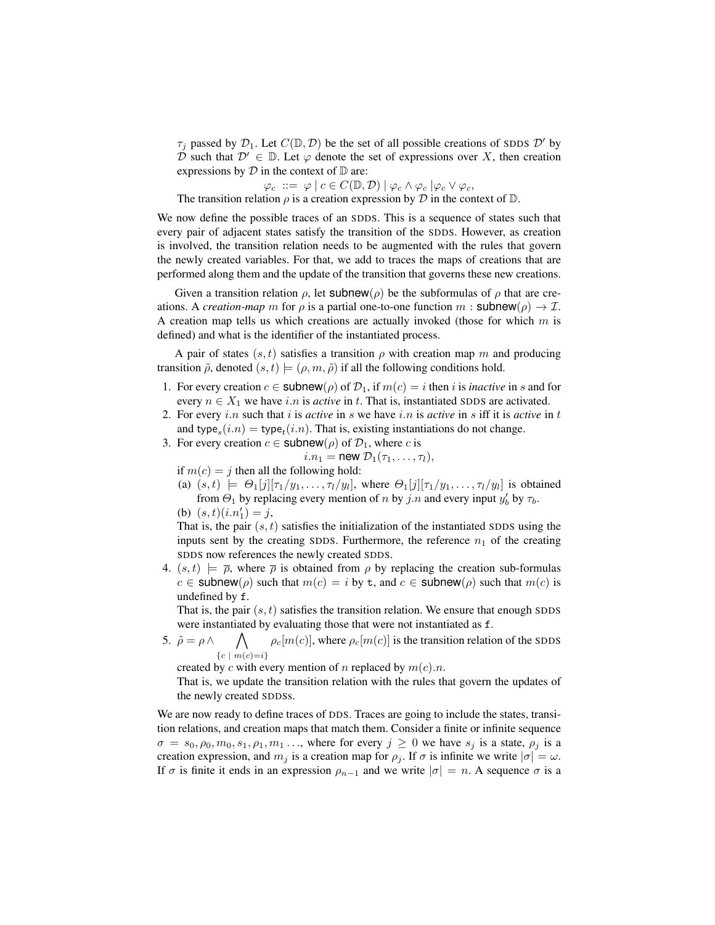$\tau_i$  passed by  $\mathcal{D}_1$ . Let  $C(\mathbb{D}, \mathcal{D})$  be the set of all possible creations of SDDS  $\mathcal{D}'$  by D such that  $\mathcal{D}' \in \mathbb{D}$ . Let  $\varphi$  denote the set of expressions over X, then creation expressions by  $D$  in the context of  $D$  are:

 $\varphi_c \ ::= \ \varphi \ | \ c \in C(\mathbb{D}, \mathcal{D}) \ | \ \varphi_c \wedge \varphi_c \ | \varphi_c \vee \varphi_c,$ 

The transition relation  $\rho$  is a creation expression by  $\mathcal D$  in the context of  $\mathbb D$ .

We now define the possible traces of an SDDS. This is a sequence of states such that every pair of adjacent states satisfy the transition of the SDDS. However, as creation is involved, the transition relation needs to be augmented with the rules that govern the newly created variables. For that, we add to traces the maps of creations that are performed along them and the update of the transition that governs these new creations.

Given a transition relation  $\rho$ , let subnew( $\rho$ ) be the subformulas of  $\rho$  that are creations. A *creation-map* m for  $\rho$  is a partial one-to-one function m :  $\text{subnew}(\rho) \to \mathcal{I}$ . A creation map tells us which creations are actually invoked (those for which  $m$  is defined) and what is the identifier of the instantiated process.

A pair of states  $(s, t)$  satisfies a transition  $\rho$  with creation map m and producing transition  $\tilde{\rho}$ , denoted  $(s, t) \models (\rho, m, \tilde{\rho})$  if all the following conditions hold.

- 1. For every creation  $c \in \text{subnew}(\rho)$  of  $\mathcal{D}_1$ , if  $m(c) = i$  then i is *inactive* in s and for every  $n \in X_1$  we have i.n is *active* in t. That is, instantiated SDDS are activated.
- 2. For every i.n such that i is *active* in s we have i.n is *active* in s iff it is *active* in t and type<sub>s</sub> $(i.n)$  = type<sub>t</sub> $(i.n)$ . That is, existing instantiations do not change.
- 3. For every creation  $c \in \text{subnew}(\rho)$  of  $\mathcal{D}_1$ , where c is

$$
i.n_1 = \text{new } \mathcal{D}_1(\tau_1,\ldots,\tau_l),
$$

if  $m(c) = j$  then all the following hold:

- (a)  $(s,t) \models \Theta_1[j][\tau_1/y_1,\ldots,\tau_l/y_l]$ , where  $\Theta_1[j][\tau_1/y_1,\ldots,\tau_l/y_l]$  is obtained from  $\Theta_1$  by replacing every mention of n by j.n and every input  $y'_b$  by  $\tau_b$ .
- (b)  $(s,t)(i.n'_1) = j$ ,

That is, the pair  $(s, t)$  satisfies the initialization of the instantiated SDDS using the inputs sent by the creating SDDS. Furthermore, the reference  $n_1$  of the creating SDDS now references the newly created SDDS.

4.  $(s, t) \models \overline{\rho}$ , where  $\overline{\rho}$  is obtained from  $\rho$  by replacing the creation sub-formulas  $c \in \text{subnew}(\rho)$  such that  $m(c) = i$  by t, and  $c \in \text{subnew}(\rho)$  such that  $m(c)$  is undefined by f.

That is, the pair  $(s, t)$  satisfies the transition relation. We ensure that enough SDDS were instantiated by evaluating those that were not instantiated as f.

5.  $\tilde{\rho} = \rho \wedge$  $\wedge$  ${c | m(c)=i}$  $\rho_c[m(c)]$ , where  $\rho_c[m(c)]$  is the transition relation of the SDDS

created by c with every mention of n replaced by  $m(c)$ .n.

That is, we update the transition relation with the rules that govern the updates of the newly created SDDSs.

We are now ready to define traces of DDS. Traces are going to include the states, transition relations, and creation maps that match them. Consider a finite or infinite sequence  $\sigma = s_0, \rho_0, m_0, s_1, \rho_1, m_1, \ldots$ , where for every  $j \geq 0$  we have  $s_j$  is a state,  $\rho_j$  is a creation expression, and  $m_j$  is a creation map for  $\rho_j$ . If  $\sigma$  is infinite we write  $|\sigma| = \omega$ . If  $\sigma$  is finite it ends in an expression  $\rho_{n-1}$  and we write  $|\sigma| = n$ . A sequence  $\sigma$  is a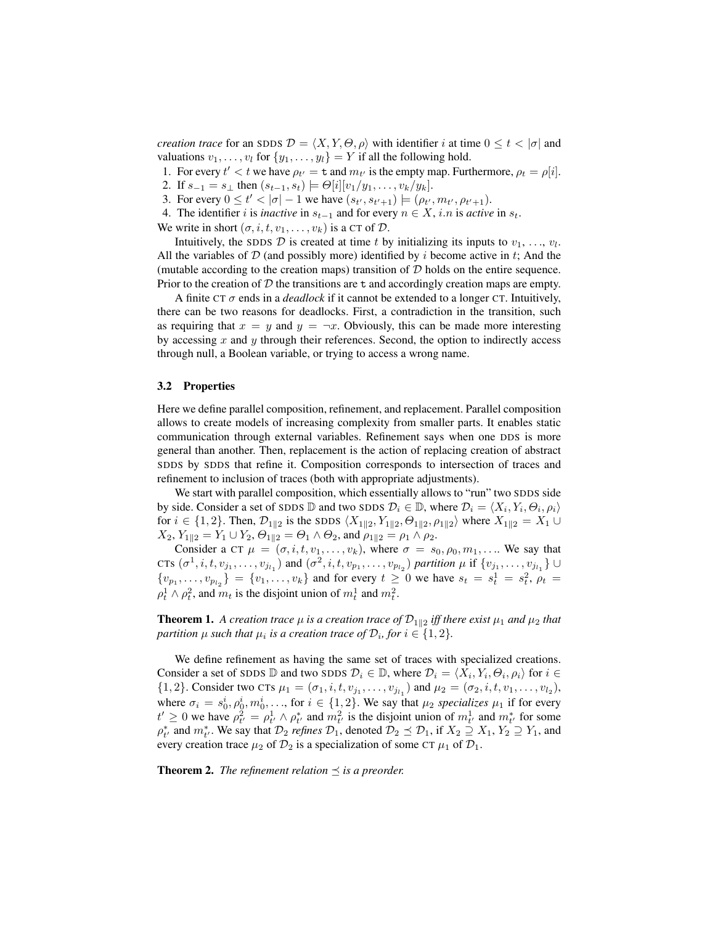*creation trace* for an SDDS  $\mathcal{D} = \langle X, Y, \Theta, \rho \rangle$  with identifier i at time  $0 \le t < |\sigma|$  and valuations  $v_1, \ldots, v_l$  for  $\{y_1, \ldots, y_l\} = Y$  if all the following hold.

1. For every  $t' < t$  we have  $\rho_{t'} = \tau$  and  $m_{t'}$  is the empty map. Furthermore,  $\rho_t = \rho[i]$ .

2. If  $s_{-1} = s_{\perp}$  then  $(s_{t-1}, s_t) \models \Theta[i][v_1/y_1, \ldots, v_k/y_k].$ 

3. For every  $0 \le t' < |\sigma| - 1$  we have  $(s_{t'}, s_{t'+1}) \models (\rho_{t'}, m_{t'}, \rho_{t'+1})$ .

4. The identifier *i* is *inactive* in  $s_{t-1}$  and for every  $n \in X$ , *i.n* is *active* in  $s_t$ .

We write in short  $(\sigma, i, t, v_1, \ldots, v_k)$  is a CT of D.

Intuitively, the SDDS  $D$  is created at time t by initializing its inputs to  $v_1, \ldots, v_l$ . All the variables of  $D$  (and possibly more) identified by i become active in t; And the (mutable according to the creation maps) transition of  $D$  holds on the entire sequence. Prior to the creation of  $D$  the transitions are  $t$  and accordingly creation maps are empty.

A finite CT  $\sigma$  ends in a *deadlock* if it cannot be extended to a longer CT. Intuitively, there can be two reasons for deadlocks. First, a contradiction in the transition, such as requiring that  $x = y$  and  $y = \neg x$ . Obviously, this can be made more interesting by accessing  $x$  and  $y$  through their references. Second, the option to indirectly access through null, a Boolean variable, or trying to access a wrong name.

#### 3.2 Properties

Here we define parallel composition, refinement, and replacement. Parallel composition allows to create models of increasing complexity from smaller parts. It enables static communication through external variables. Refinement says when one DDS is more general than another. Then, replacement is the action of replacing creation of abstract SDDS by SDDS that refine it. Composition corresponds to intersection of traces and refinement to inclusion of traces (both with appropriate adjustments).

We start with parallel composition, which essentially allows to "run" two SDDS side by side. Consider a set of SDDS  $\mathbb{D}$  and two SDDS  $\mathcal{D}_i \in \mathbb{D}$ , where  $\mathcal{D}_i = \langle X_i, Y_i, \Theta_i, \rho_i \rangle$ for  $i \in \{1, 2\}$ . Then,  $\mathcal{D}_{1||2}$  is the SDDS  $\langle X_{1||2}, Y_{1||2}, \Theta_{1||2}, \rho_{1||2} \rangle$  where  $X_{1||2} = X_1 \cup$  $X_2, Y_{1\|2} = Y_1 \cup Y_2, \Theta_{1\|2} = \Theta_1 \wedge \Theta_2$ , and  $\rho_{1\|2} = \rho_1 \wedge \rho_2$ .

Consider a CT  $\mu = (\sigma, i, t, v_1, \dots, v_k)$ , where  $\sigma = s_0, \rho_0, m_1, \dots$  We say that CTs  $(\sigma^1, i, t, v_{j_1}, \ldots, v_{j_{l_1}})$  and  $(\sigma^2, i, t, v_{p_1}, \ldots, v_{p_{l_2}})$  partition  $\mu$  if  $\{v_{j_1}, \ldots, v_{j_{l_1}}\} \cup$  $\{v_{p_1}, \ldots, v_{p_{l_2}}\} = \{v_1, \ldots, v_k\}$  and for every  $t \geq 0$  we have  $s_t = s_t^1 = s_t^2$ ,  $\rho_t =$  $\rho_t^1 \wedge \rho_t^2$ , and  $m_t$  is the disjoint union of  $m_t^1$  and  $m_t^2$ .

**Theorem 1.** A creation trace  $\mu$  is a creation trace of  $\mathcal{D}_{1\parallel 2}$  *iff there exist*  $\mu_1$  *and*  $\mu_2$  *that* partition  $\mu$  such that  $\mu_i$  is a creation trace of  $\mathcal{D}_i$ , for  $i \in \{1,2\}$ .

We define refinement as having the same set of traces with specialized creations. Consider a set of SDDS  $\mathbb{D}$  and two SDDS  $\mathcal{D}_i \in \mathbb{D}$ , where  $\mathcal{D}_i = \langle X_i, Y_i, \Theta_i, \rho_i \rangle$  for  $i \in$ {1, 2}. Consider two CTs  $\mu_1 = (\sigma_1, i, t, v_{j_1}, \dots, v_{j_{l_1}})$  and  $\mu_2 = (\sigma_2, i, t, v_1, \dots, v_{l_2})$ , where  $\sigma_i = s_0^i, \rho_0^i, m_0^i, \ldots$ , for  $i \in \{1, 2\}$ . We say that  $\mu_2$  *specializes*  $\mu_1$  if for every  $t' \geq 0$  we have  $\rho_{t'}^2 = \rho_{t'}^1 \wedge \rho_{t'}^*$  and  $m_{t'}^2$  is the disjoint union of  $m_{t'}^1$  and  $m_{t'}^*$  for some  $\rho_{t'}^*$  and  $m_{t'}^*$ . We say that  $\mathcal{D}_2$  *refines*  $\mathcal{D}_1$ , denoted  $\mathcal{D}_2 \preceq \mathcal{D}_1$ , if  $X_2 \supseteq X_1, Y_2 \supseteq Y_1$ , and every creation trace  $\mu_2$  of  $\mathcal{D}_2$  is a specialization of some CT  $\mu_1$  of  $\mathcal{D}_1$ .

**Theorem 2.** *The refinement relation*  $\prec$  *is a preorder.*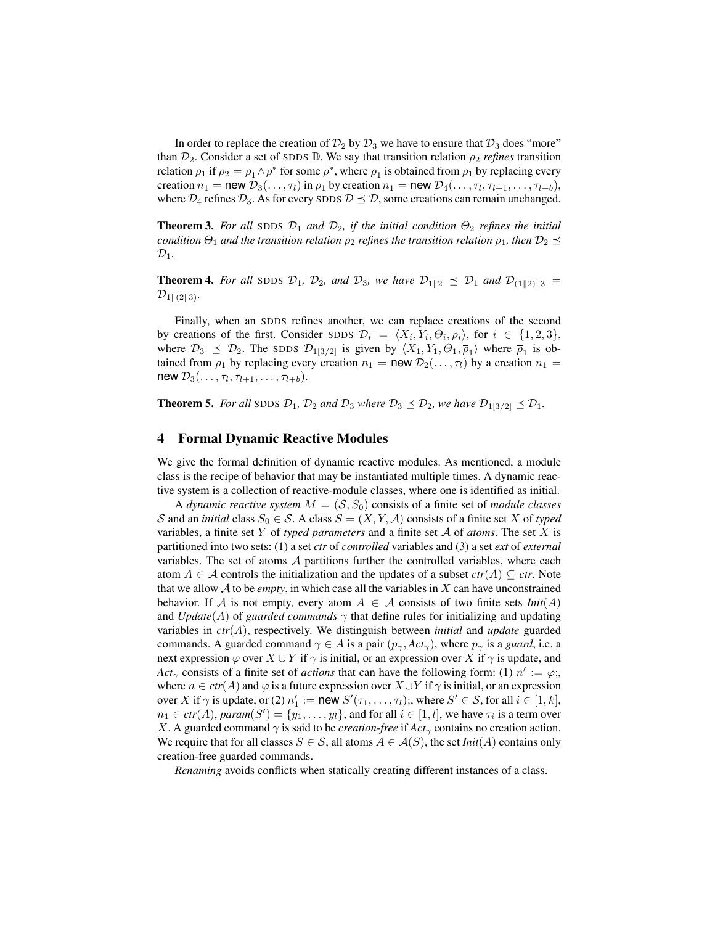In order to replace the creation of  $\mathcal{D}_2$  by  $\mathcal{D}_3$  we have to ensure that  $\mathcal{D}_3$  does "more" than  $\mathcal{D}_2$ . Consider a set of SDDS D. We say that transition relation  $\rho_2$  *refines* transition relation  $\rho_1$  if  $\rho_2 = \overline{\rho}_1 \wedge \rho^*$  for some  $\rho^*$ , where  $\overline{\rho}_1$  is obtained from  $\rho_1$  by replacing every creation  $n_1 = \text{new } \mathcal{D}_3(\ldots, \tau_l)$  in  $\rho_1$  by creation  $n_1 = \text{new } \mathcal{D}_4(\ldots, \tau_l, \tau_{l+1}, \ldots, \tau_{l+b}),$ where  $\mathcal{D}_4$  refines  $\mathcal{D}_3$ . As for every SDDS  $\mathcal{D} \preceq \mathcal{D}$ , some creations can remain unchanged.

**Theorem 3.** *For all* SDDS  $\mathcal{D}_1$  *and*  $\mathcal{D}_2$ *, if the initial condition*  $\Theta_2$  *refines the initial condition*  $\Theta_1$  *and the transition relation*  $\rho_2$  *refines the transition relation*  $\rho_1$ *, then*  $\mathcal{D}_2 \preceq$  $\mathcal{D}_1$ .

**Theorem 4.** For all SDDS  $\mathcal{D}_1$ ,  $\mathcal{D}_2$ , and  $\mathcal{D}_3$ , we have  $\mathcal{D}_{1||2} \preceq \mathcal{D}_1$  and  $\mathcal{D}_{(1||2)||3} =$  $\mathcal{D}_{1\|(2\|3)}$ .

Finally, when an SDDS refines another, we can replace creations of the second by creations of the first. Consider SDDS  $\mathcal{D}_i = \langle X_i, Y_i, \Theta_i, \rho_i \rangle$ , for  $i \in \{1, 2, 3\}$ , where  $\mathcal{D}_3 \preceq \mathcal{D}_2$ . The SDDS  $\mathcal{D}_{1[3/2]}$  is given by  $\langle X_1, Y_1, \Theta_1, \overline{\rho}_1 \rangle$  where  $\overline{\rho}_1$  is obtained from  $\rho_1$  by replacing every creation  $n_1 =$  new  $\mathcal{D}_2(\ldots, \tau_l)$  by a creation  $n_1 =$ new  $\mathcal{D}_3(\ldots,\tau_l,\tau_{l+1},\ldots,\tau_{l+b}).$ 

**Theorem 5.** *For all* SDDS  $\mathcal{D}_1$ *,*  $\mathcal{D}_2$  *and*  $\mathcal{D}_3$  *where*  $\mathcal{D}_3 \preceq \mathcal{D}_2$ *, we have*  $\mathcal{D}_{1[3/2]} \preceq \mathcal{D}_1$ *.* 

### 4 Formal Dynamic Reactive Modules

We give the formal definition of dynamic reactive modules. As mentioned, a module class is the recipe of behavior that may be instantiated multiple times. A dynamic reactive system is a collection of reactive-module classes, where one is identified as initial.

A *dynamic reactive system*  $M = (S, S_0)$  consists of a finite set of *module classes* S and an *initial* class  $S_0 \in S$ . A class  $S = (X, Y, A)$  consists of a finite set X of *typed* variables, a finite set Y of *typed parameters* and a finite set A of *atoms*. The set X is partitioned into two sets: (1) a set *ctr* of *controlled* variables and (3) a set *ext* of *external* variables. The set of atoms  $A$  partitions further the controlled variables, where each atom  $A \in \mathcal{A}$  controls the initialization and the updates of a subset  $ctr(A) \subseteq ctr$ . Note that we allow  $A$  to be *empty*, in which case all the variables in  $X$  can have unconstrained behavior. If A is not empty, every atom  $A \in \mathcal{A}$  consists of two finite sets  $Init(A)$ and *Update*(A) of *guarded commands*  $\gamma$  that define rules for initializing and updating variables in *ctr*(A), respectively. We distinguish between *initial* and *update* guarded commands. A guarded command  $\gamma \in A$  is a pair  $(p_{\gamma}, Act_{\gamma})$ , where  $p_{\gamma}$  is a *guard*, i.e. a next expression  $\varphi$  over  $X \cup Y$  if  $\gamma$  is initial, or an expression over X if  $\gamma$  is update, and *Act*<sub>γ</sub> consists of a finite set of *actions* that can have the following form: (1)  $n' := \varphi$ ; where  $n \in \text{ctr}(A)$  and  $\varphi$  is a future expression over  $X \cup Y$  if  $\gamma$  is initial, or an expression over X if  $\gamma$  is update, or (2)  $n'_1 := \text{new } S'(\tau_1, \ldots, \tau_l)$ ;, where  $S' \in \mathcal{S}$ , for all  $i \in [1, k]$ ,  $n_1 \in \text{ctr}(A)$ ,  $\text{param}(S') = \{y_1, \ldots, y_l\}$ , and for all  $i \in [1, l]$ , we have  $\tau_i$  is a term over X. A guarded command  $\gamma$  is said to be *creation-free* if  $Act_{\gamma}$  contains no creation action. We require that for all classes  $S \in \mathcal{S}$ , all atoms  $A \in \mathcal{A}(S)$ , the set *Init*(A) contains only creation-free guarded commands.

*Renaming* avoids conflicts when statically creating different instances of a class.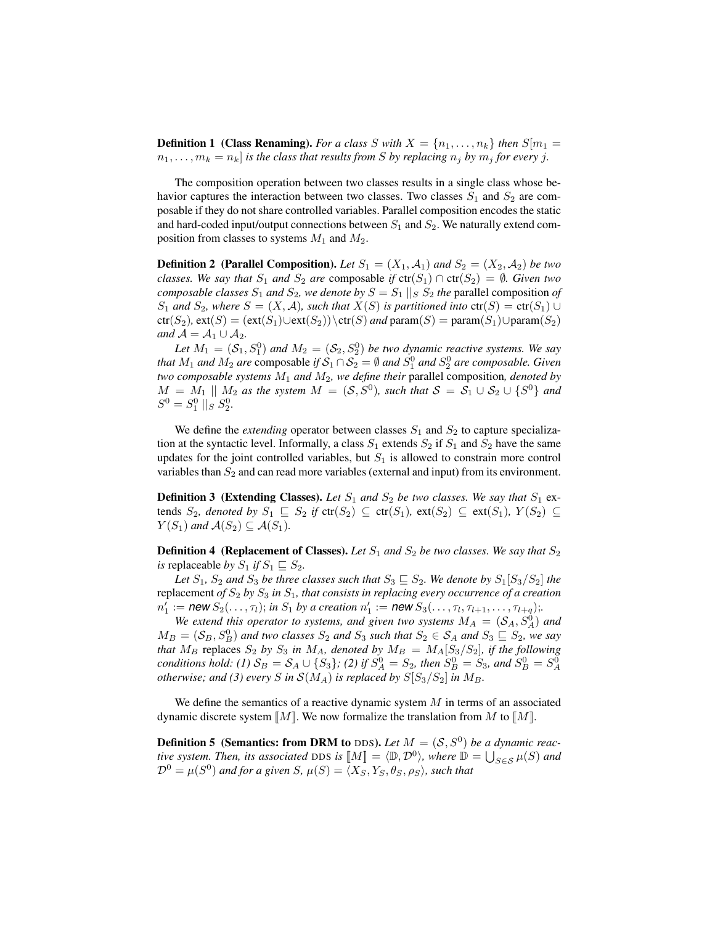**Definition 1 (Class Renaming).** *For a class S with*  $X = \{n_1, \ldots, n_k\}$  *then*  $S[m_1 = \{n_2, \ldots, n_k\}]$  $n_1, \ldots, m_k = n_k$  *is the class that results from S by replacing*  $n_j$  *by*  $m_j$  *for every j*.

The composition operation between two classes results in a single class whose behavior captures the interaction between two classes. Two classes  $S_1$  and  $S_2$  are composable if they do not share controlled variables. Parallel composition encodes the static and hard-coded input/output connections between  $S_1$  and  $S_2$ . We naturally extend composition from classes to systems  $M_1$  and  $M_2$ .

**Definition 2** (Parallel Composition). Let  $S_1 = (X_1, \mathcal{A}_1)$  and  $S_2 = (X_2, \mathcal{A}_2)$  be two *classes. We say that*  $S_1$  *and*  $S_2$  *are* composable *if*  $\text{ctr}(S_1) \cap \text{ctr}(S_2) = \emptyset$ *. Given two composable classes*  $S_1$  *and*  $S_2$ *, we denote by*  $S = S_1 \mid S_2$  *form learers the* parallel composition *of* S<sub>1</sub> and S<sub>2</sub>, where  $S = (X, \mathcal{A})$ , such that  $X(S)$  is partitioned into  $\text{ctr}(S) = \text{ctr}(S_1) \cup$  $ctr(S_2)$ ,  $ext(S) = (ext(S_1) \cup ext(S_2)) \ctr(S)$  *and*  $param(S) = param(S_1) \cup param(S_2)$ *and*  $\mathcal{A} = \mathcal{A}_1 \cup \mathcal{A}_2$ *.* 

Let  $M_1 = (\mathcal{S}_1, S_1^0)$  and  $M_2 = (\mathcal{S}_2, S_2^0)$  be two dynamic reactive systems. We say *that*  $M_1$  *and*  $M_2$  *are* composable *if*  $S_1 \cap S_2 = \emptyset$  *and*  $S_1^0$  *and*  $S_2^0$  *are composable. Given two composable systems* M<sup>1</sup> *and* M2*, we define their* parallel composition*, denoted by*  $M = M_1 \parallel M_2$  as the system  $M = (\mathcal{S}, S^0)$ , such that  $\mathcal{S} = \mathcal{S}_1 \cup \mathcal{S}_2 \cup \{S^0\}$  and  $S^0 = S_1^0 \mid |S| S_2^0.$ 

We define the *extending* operator between classes  $S_1$  and  $S_2$  to capture specialization at the syntactic level. Informally, a class  $S_1$  extends  $S_2$  if  $S_1$  and  $S_2$  have the same updates for the joint controlled variables, but  $S_1$  is allowed to constrain more control variables than  $S_2$  and can read more variables (external and input) from its environment.

**Definition 3** (Extending Classes). Let  $S_1$  and  $S_2$  be two classes. We say that  $S_1$  extends  $S_2$ *, denoted by*  $S_1 \subseteq S_2$  *if*  $\text{ctr}(S_2) \subseteq \text{ctr}(S_1)$ *,*  $\text{ext}(S_2) \subseteq \text{ext}(S_1)$ *,*  $Y(S_2) \subseteq$  $Y(S_1)$  and  $\mathcal{A}(S_2) \subseteq \mathcal{A}(S_1)$ .

**Definition 4 (Replacement of Classes).** Let  $S_1$  and  $S_2$  be two classes. We say that  $S_2$ *is* replaceable *by*  $S_1$  *if*  $S_1 \sqsubseteq S_2$ *.* 

Let  $S_1$ ,  $S_2$  *and*  $S_3$  *be three classes such that*  $S_3 \sqsubseteq S_2$ *. We denote by*  $S_1[S_3/S_2]$  *the* replacement *of*  $S_2$  *by*  $S_3$  *in*  $S_1$ *, that consists in replacing every occurrence of a creation*  $n'_1 := \textit{new } S_2(\ldots, \tau_l)$ ; *in*  $S_1$  *by a creation*  $n'_1 := \textit{new } S_3(\ldots, \tau_l, \tau_{l+1}, \ldots, \tau_{l+q})$ ;

We extend this operator to systems, and given two systems  $M_A = (\mathcal{S}_A, S_A^0)$  and  $M_B = (\mathcal{S}_B, S_B^0)$  and two classes  $S_2$  and  $S_3$  such that  $S_2 \in \mathcal{S}_A$  and  $S_3 \sqsubseteq S_2$ , we say *that*  $M_B$  replaces  $S_2$  *by*  $S_3$  *in*  $M_A$ *, denoted by*  $M_B = M_A[S_3/S_2]$ *, if the following conditions hold:* (1)  $S_B = S_A \cup \{S_3\}$ ; (2) if  $S_A^0 = S_2$ , then  $S_B^0 = S_3$ , and  $S_B^0 = S_A^0$ *otherwise; and (3) every* S *in*  $S(M_A)$  *is replaced by*  $S[S_3/S_2]$  *in*  $M_B$ .

We define the semantics of a reactive dynamic system  $M$  in terms of an associated dynamic discrete system  $||M||$ . We now formalize the translation from M to  $||M||$ .

**Definition 5** (**Semantics: from DRM to** DDS). Let  $M = (\mathcal{S}, S^0)$  be a dynamic reac*tive system. Then, its associated* DDS *is*  $[M] = \langle \mathbb{D}, \mathcal{D}^0 \rangle$ *, where*  $\mathbb{D} = \bigcup_{S \in \mathcal{S}} \mu(S)$  *and*  $\mathcal{D}^{0} = \mu(S^{0})$  and for a given S,  $\mu(S) = \langle X_{S}, Y_{S}, \theta_{S}, \rho_{S} \rangle$ , such that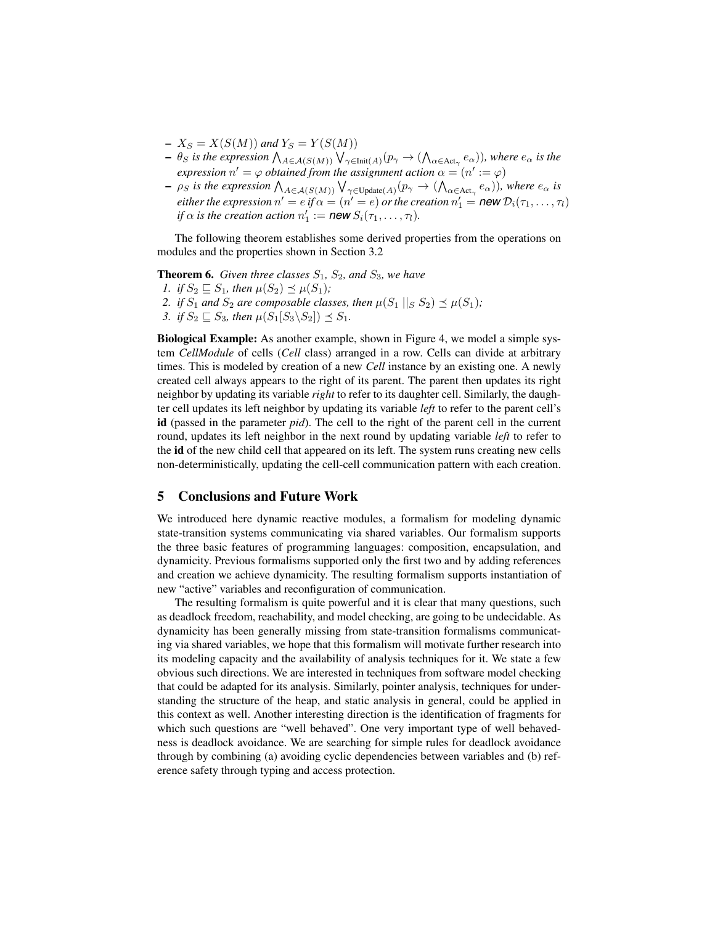- $-X<sub>S</sub> = X(S(M))$  *and*  $Y<sub>S</sub> = Y(S(M))$
- $\theta_S$  *is the expression*  $\bigwedge_{A\in\mathcal{A}(S(M))}\bigvee_{\gamma\in\text{Init}(A)}(p_\gamma\to(\bigwedge_{\alpha\in\text{Act}_\gamma}e_\alpha))$ , where  $e_\alpha$  *is the expression*  $n' = \varphi$  *obtained from the assignment action*  $\alpha = (n' := \varphi)$
- $\rho_S$  *is the expression*  $\bigwedge_{A \in \mathcal{A}(S(M))} \bigvee_{\gamma \in \text{Update}(A)} (p_\gamma \to (\bigwedge_{\alpha \in \text{Act}_\gamma} e_\alpha))$ , where  $e_\alpha$  *is*  $e$ *ither the expression*  $n' = e$  *if*  $\alpha = (n' = e)$  *or the creation*  $n'_1 =$  **new**  $\mathcal{D}_i(\tau_1, \ldots, \tau_l)$ *if*  $\alpha$  *is the creation action*  $n'_1 :=$  *new*  $S_i(\tau_1, \ldots, \tau_l)$ *.*

The following theorem establishes some derived properties from the operations on modules and the properties shown in Section 3.2

**Theorem 6.** *Given three classes*  $S_1$ *,*  $S_2$ *, and*  $S_3$ *, we have* 

- *1. if*  $S_2 \subseteq S_1$ *, then*  $\mu(S_2) \preceq \mu(S_1)$ *;*
- 2. *if*  $S_1$  *and*  $S_2$  *are composable classes, then*  $\mu(S_1 \mid |S S_2) \preceq \mu(S_1)$ *;*
- *3. if*  $S_2 \sqsubseteq S_3$ *, then*  $\mu(S_1[S_3 \setminus S_2]) \preceq S_1$ *.*

Biological Example: As another example, shown in Figure 4, we model a simple system *CellModule* of cells (*Cell* class) arranged in a row. Cells can divide at arbitrary times. This is modeled by creation of a new *Cell* instance by an existing one. A newly created cell always appears to the right of its parent. The parent then updates its right neighbor by updating its variable *right* to refer to its daughter cell. Similarly, the daughter cell updates its left neighbor by updating its variable *left* to refer to the parent cell's id (passed in the parameter *pid*). The cell to the right of the parent cell in the current round, updates its left neighbor in the next round by updating variable *left* to refer to the id of the new child cell that appeared on its left. The system runs creating new cells non-deterministically, updating the cell-cell communication pattern with each creation.

#### 5 Conclusions and Future Work

We introduced here dynamic reactive modules, a formalism for modeling dynamic state-transition systems communicating via shared variables. Our formalism supports the three basic features of programming languages: composition, encapsulation, and dynamicity. Previous formalisms supported only the first two and by adding references and creation we achieve dynamicity. The resulting formalism supports instantiation of new "active" variables and reconfiguration of communication.

The resulting formalism is quite powerful and it is clear that many questions, such as deadlock freedom, reachability, and model checking, are going to be undecidable. As dynamicity has been generally missing from state-transition formalisms communicating via shared variables, we hope that this formalism will motivate further research into its modeling capacity and the availability of analysis techniques for it. We state a few obvious such directions. We are interested in techniques from software model checking that could be adapted for its analysis. Similarly, pointer analysis, techniques for understanding the structure of the heap, and static analysis in general, could be applied in this context as well. Another interesting direction is the identification of fragments for which such questions are "well behaved". One very important type of well behavedness is deadlock avoidance. We are searching for simple rules for deadlock avoidance through by combining (a) avoiding cyclic dependencies between variables and (b) reference safety through typing and access protection.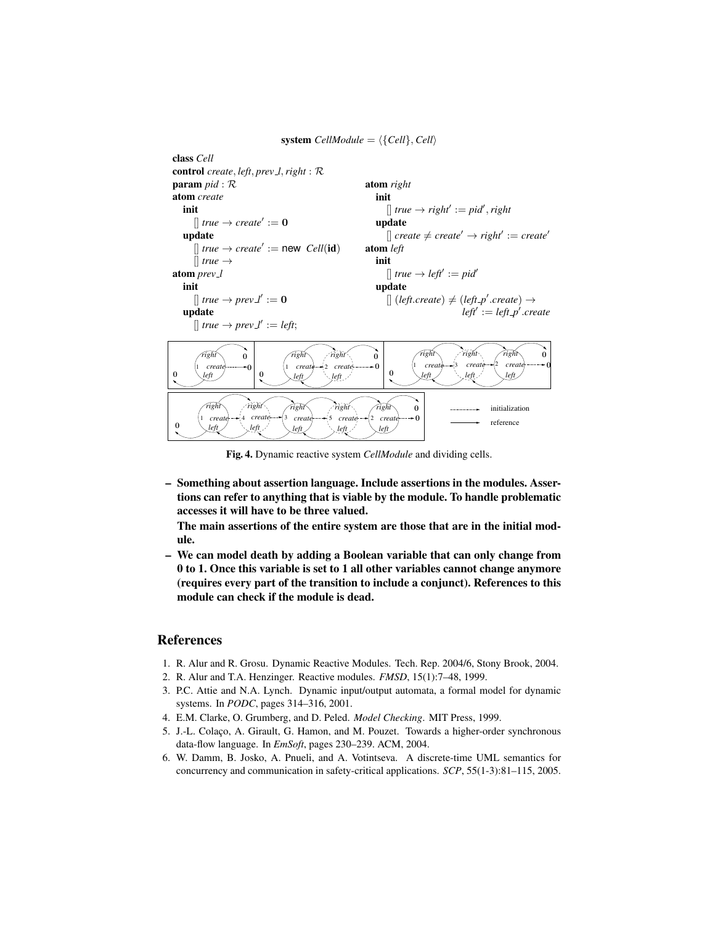

Fig. 4. Dynamic reactive system *CellModule* and dividing cells.

– Something about assertion language. Include assertions in the modules. Assertions can refer to anything that is viable by the module. To handle problematic accesses it will have to be three valued.

The main assertions of the entire system are those that are in the initial module.

– We can model death by adding a Boolean variable that can only change from 0 to 1. Once this variable is set to 1 all other variables cannot change anymore (requires every part of the transition to include a conjunct). References to this module can check if the module is dead.

### **References**

- 1. R. Alur and R. Grosu. Dynamic Reactive Modules. Tech. Rep. 2004/6, Stony Brook, 2004.
- 2. R. Alur and T.A. Henzinger. Reactive modules. *FMSD*, 15(1):7–48, 1999.
- 3. P.C. Attie and N.A. Lynch. Dynamic input/output automata, a formal model for dynamic systems. In *PODC*, pages 314–316, 2001.
- 4. E.M. Clarke, O. Grumberg, and D. Peled. *Model Checking*. MIT Press, 1999.
- 5. J.-L. Colaço, A. Girault, G. Hamon, and M. Pouzet. Towards a higher-order synchronous data-flow language. In *EmSoft*, pages 230–239. ACM, 2004.
- 6. W. Damm, B. Josko, A. Pnueli, and A. Votintseva. A discrete-time UML semantics for concurrency and communication in safety-critical applications. *SCP*, 55(1-3):81–115, 2005.